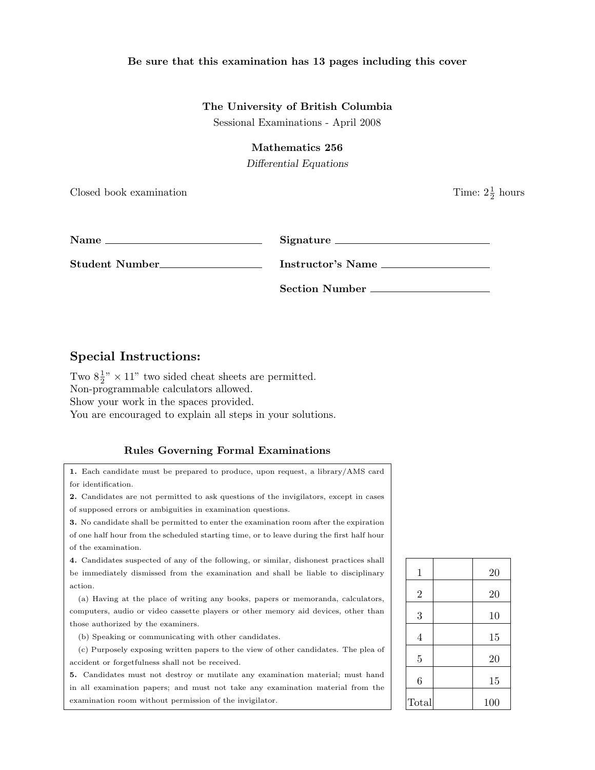## Be sure that this examination has 13 pages including this cover

## The University of British Columbia

Sessional Examinations - April 2008

#### Mathematics 256

Differential Equations

Closed book examination

 $\frac{1}{2}$  hours

| <b>Name</b>     | Signature             |
|-----------------|-----------------------|
| Student Number_ | Instructor's Name     |
|                 | <b>Section Number</b> |

# Special Instructions:

Two  $8\frac{1}{2}$ " × 11" two sided cheat sheets are permitted. Non-programmable calculators allowed. Show your work in the spaces provided. You are encouraged to explain all steps in your solutions.

## Rules Governing Formal Examinations

1. Each candidate must be prepared to produce, upon request, a library/AMS card for identification.

2. Candidates are not permitted to ask questions of the invigilators, except in cases of supposed errors or ambiguities in examination questions.

3. No candidate shall be permitted to enter the examination room after the expiration of one half hour from the scheduled starting time, or to leave during the first half hour of the examination.

4. Candidates suspected of any of the following, or similar, dishonest practices shall be immediately dismissed from the examination and shall be liable to disciplinary action.

(a) Having at the place of writing any books, papers or memoranda, calculators, computers, audio or video cassette players or other memory aid devices, other than those authorized by the examiners.

(b) Speaking or communicating with other candidates.

(c) Purposely exposing written papers to the view of other candidates. The plea of accident or forgetfulness shall not be received.

5. Candidates must not destroy or mutilate any examination material; must hand in all examination papers; and must not take any examination material from the examination room without permission of the invigilator.

| $\mathbf 1$    | 20  |
|----------------|-----|
| $\overline{2}$ | 20  |
| 3              | 10  |
| $\overline{4}$ | 15  |
| $\overline{5}$ | 20  |
| 6              | 15  |
| Total          | 100 |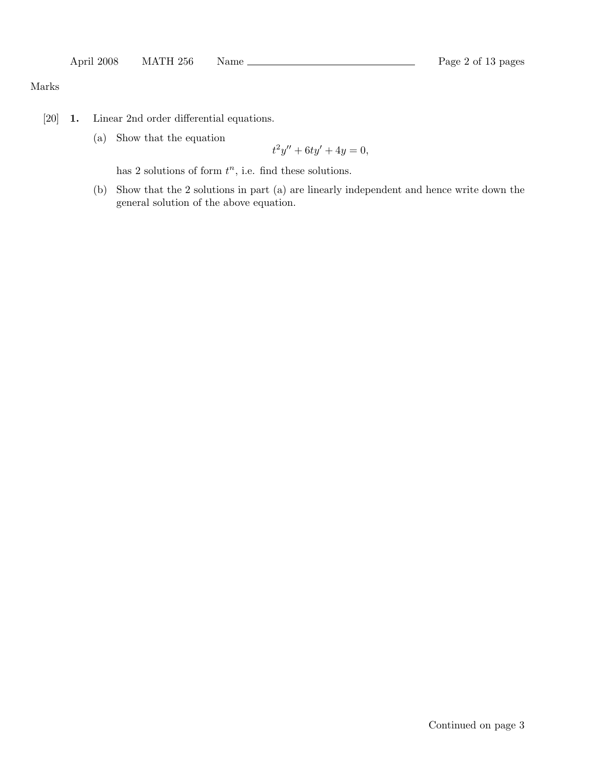# Marks

- [20] 1. Linear 2nd order differential equations.
	- (a) Show that the equation

$$
t^2y'' + 6ty' + 4y = 0,
$$

has 2 solutions of form  $t^n$ , i.e. find these solutions.

(b) Show that the 2 solutions in part (a) are linearly independent and hence write down the general solution of the above equation.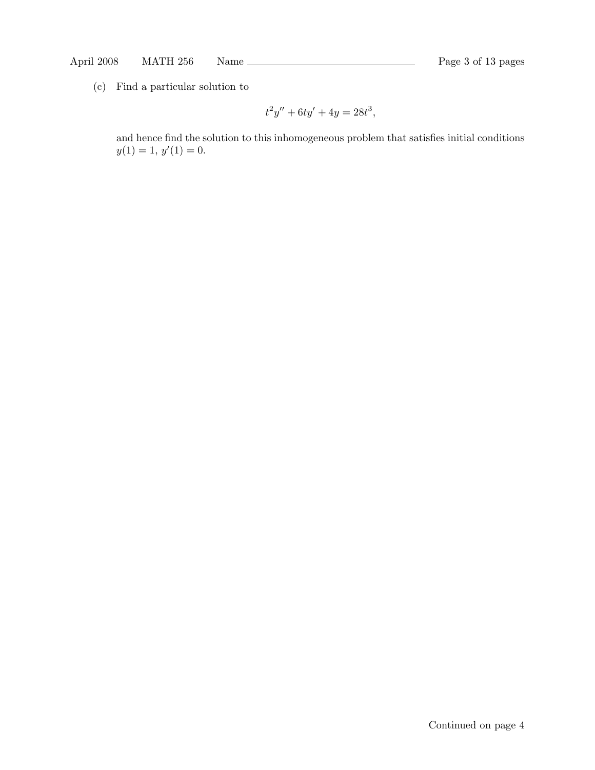(c) Find a particular solution to

$$
t^2y'' + 6ty' + 4y = 28t^3,
$$

and hence find the solution to this inhomogeneous problem that satisfies initial conditions  $y(1) = 1, y'(1) = 0.$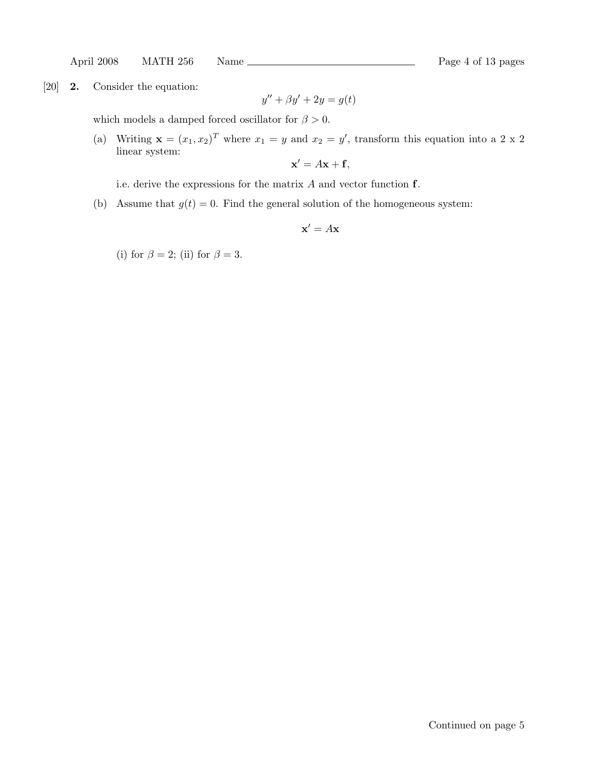April 2008 MATH 256 Name Rage 4 of 13 pages

[20] 2. Consider the equation:

$$
y'' + \beta y' + 2y = g(t)
$$

which models a damped forced oscillator for  $\beta > 0$ .

(a) Writing  $\mathbf{x} = (x_1, x_2)^T$  where  $x_1 = y$  and  $x_2 = y'$ , transform this equation into a 2 x 2 linear system:

$$
\mathbf{x}' = A\mathbf{x} + \mathbf{f},
$$

i.e. derive the expressions for the matrix  $A$  and vector function  $f$ .

(b) Assume that  $g(t) = 0$ . Find the general solution of the homogeneous system:

 $\mathbf{x}' = A\mathbf{x}$ 

(i) for  $\beta = 2$ ; (ii) for  $\beta = 3$ .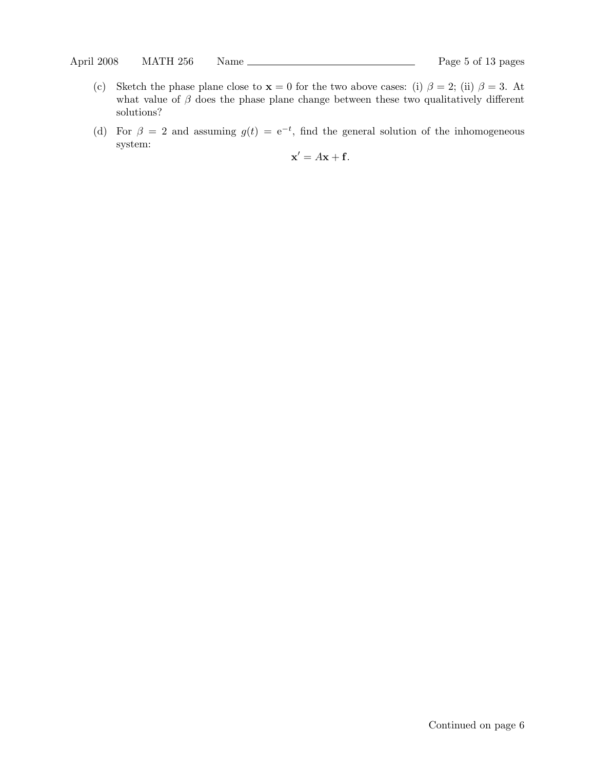- (c) Sketch the phase plane close to  $x = 0$  for the two above cases: (i)  $\beta = 2$ ; (ii)  $\beta = 3$ . At what value of  $\beta$  does the phase plane change between these two qualitatively different solutions?
- (d) For  $\beta = 2$  and assuming  $g(t) = e^{-t}$ , find the general solution of the inhomogeneous system:

$$
\mathbf{x}' = A\mathbf{x} + \mathbf{f}.
$$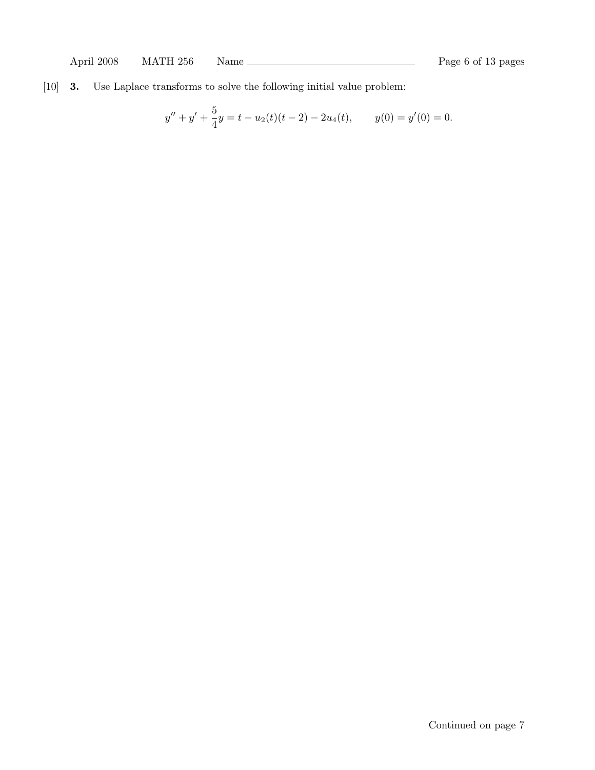[10] 3. Use Laplace transforms to solve the following initial value problem:

$$
y'' + y' + \frac{5}{4}y = t - u_2(t)(t - 2) - 2u_4(t), \qquad y(0) = y'(0) = 0.
$$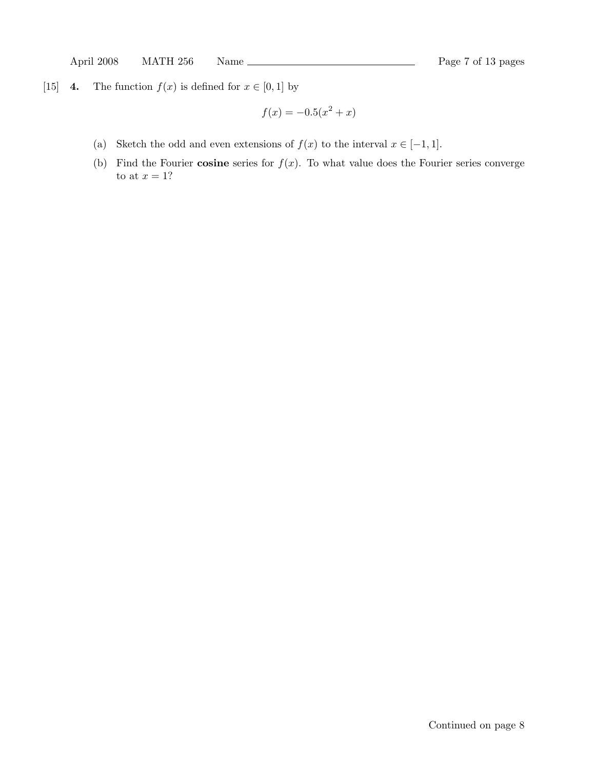[15] 4. The function  $f(x)$  is defined for  $x \in [0,1]$  by

$$
f(x) = -0.5(x^2 + x)
$$

- (a) Sketch the odd and even extensions of  $f(x)$  to the interval  $x \in [-1, 1]$ .
- (b) Find the Fourier cosine series for  $f(x)$ . To what value does the Fourier series converge to at  $x=1$ ?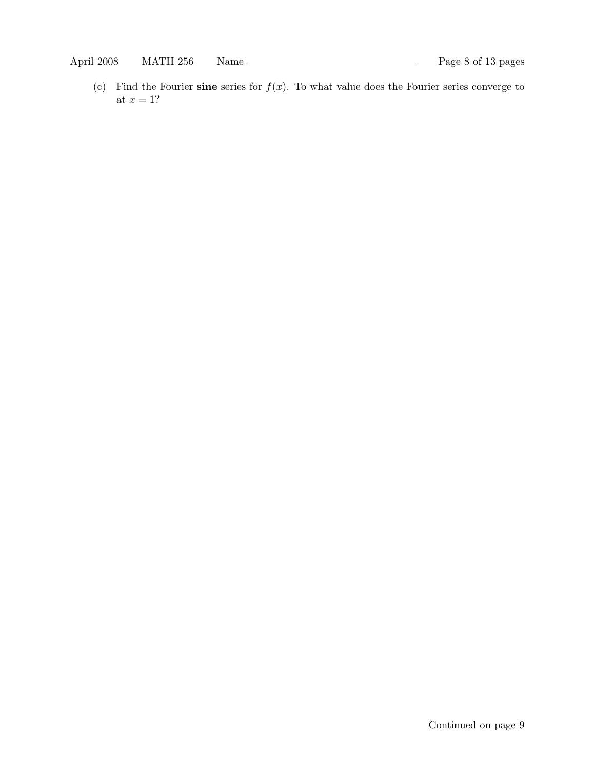(c) Find the Fourier sine series for  $f(x)$ . To what value does the Fourier series converge to at  $x = 1$ ?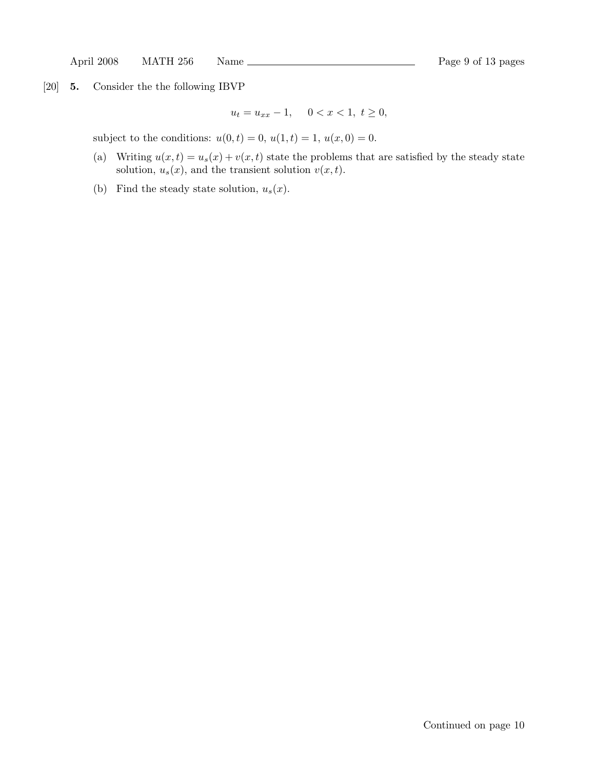[20] 5. Consider the the following IBVP

$$
u_t = u_{xx} - 1, \quad 0 < x < 1, \ t \ge 0,
$$

subject to the conditions:  $u(0, t) = 0$ ,  $u(1, t) = 1$ ,  $u(x, 0) = 0$ .

- (a) Writing  $u(x, t) = u_s(x) + v(x, t)$  state the problems that are satisfied by the steady state solution,  $u_s(x)$ , and the transient solution  $v(x, t)$ .
- (b) Find the steady state solution,  $u_s(x)$ .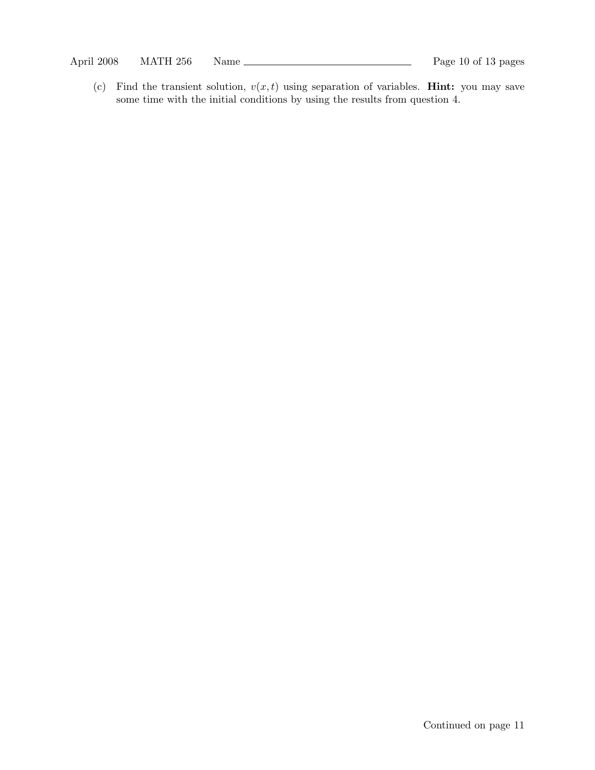(c) Find the transient solution,  $v(x, t)$  using separation of variables. **Hint:** you may save some time with the initial conditions by using the results from question 4.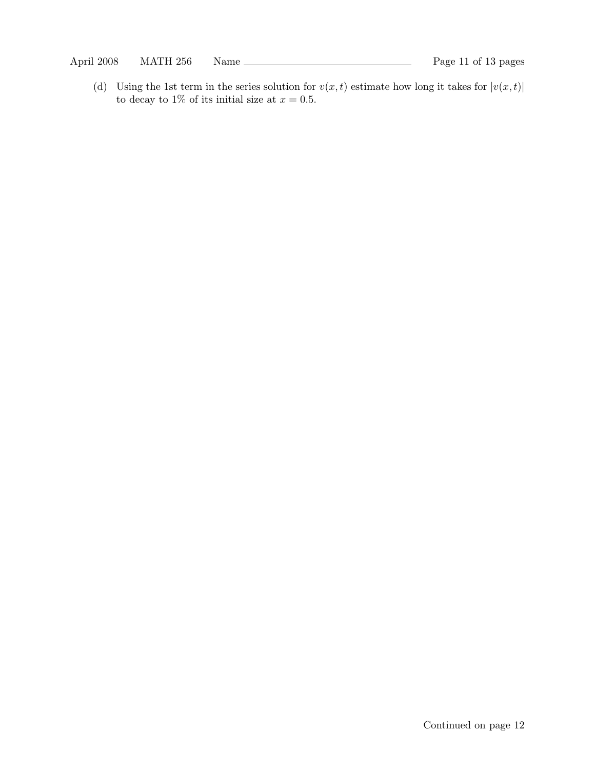(d) Using the 1st term in the series solution for  $v(x, t)$  estimate how long it takes for  $|v(x, t)|$ to decay to 1% of its initial size at  $x = 0.5$ .